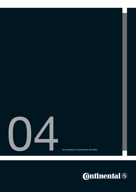

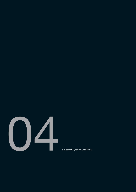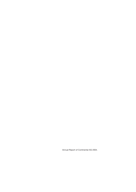Annual Report of Continental AG 2004.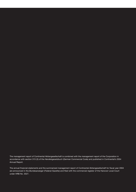The management report of Continental Aktiengesellschaft is combined with the management report of the Corporation in accordance with section 315 (3) of the *Handelsgesetzbuch* (German Commercial Code) and published in Continental's 2004 Annual Report.

The annual financial statements and the summarized management report of Continental Aktiengesellschaft for fiscal year 2004 are announced in the *Bundesanzeiger* (Federal Gazette) and filed with the commercial register of the Hanover Local Court under HRB No. 3527.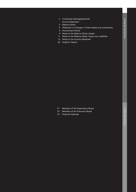- Continental Aktiengesellschaft 4 Income Statement
- 5 Balance Sheet
- 6 Statement of Changes in Fixed Assets and Investments
- 8 Accounting Policies
- 9 Notes to the Balance Sheet, Assets
- 11 Notes to the Balance Sheet, Equity and Liabilities
- 14 Notes to the Income Statement
- 20 Auditors' Report

- 21 Members of the Supervisory Board
- Members of the Executive Board 23
- Financial Calendar 24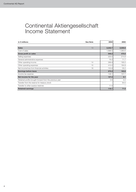# Continental Aktiengesellschaft Income Statement

| in $\epsilon$ millions                                  | <b>See Note</b> | 2004    | 2003    |
|---------------------------------------------------------|-----------------|---------|---------|
|                                                         |                 |         |         |
| <b>Sales</b>                                            | 13              | 2,242.7 | 2,035.6 |
| Cost of sales                                           |                 | 1,696.5 | 1,560.6 |
| <b>Gross profit on sales</b>                            |                 | 546.2   | 475.0   |
| Selling expenses                                        |                 | 225.5   | 214.9   |
| General administrative expenses                         |                 | 76.2    | 71.7    |
| Other operating income                                  | 14              | 286.9   | 195.5   |
| Other operating expenses                                | 15              | 410.0   | 184.9   |
| Net income/loss from financial activities               | 16              | 153.9   | $-35.2$ |
| <b>Earnings before taxes</b>                            |                 | 275.3   | 163.8   |
| Income tax expense                                      |                 | 148.1   | 157.7   |
| Net income for the year                                 |                 | 127.2   | 6.1     |
| Retained profits brought forward from the previous year |                 | 0.5     | 0.4     |
| Transfer from the reserve for treasury stock            |                 |         | 64.5    |
| Transfer to other surplus reserves                      |                 | 11.0    |         |
| <b>Retained earnings</b>                                |                 | 116.7   | 71.0    |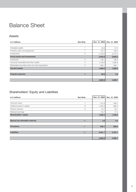# Balance Sheet

# Assets

| in $\epsilon$ millions                          | <b>See Note</b> | Dec. 31, 2004 | Dec. 31, 2003 |
|-------------------------------------------------|-----------------|---------------|---------------|
|                                                 |                 |               |               |
| Intangible assets                               |                 | 49.5          | 47.3          |
| Property, plant, and equipment                  |                 | 142.7         | 135.0         |
| Investments                                     | 2               | 2,730.6       | 2,473.0       |
| <b>Fixed assets and investments</b>             |                 | 2,922.8       | 2,655.3       |
| Inventories                                     | 3               | 149.1         | 136.6         |
| Accounts receivable and other assets            | 4               | 1,133.0       | 1,026.8       |
| Marketable securities/cash and cash equivalents | 5               | 626.1         | 462.1         |
| <b>Current assets</b>                           |                 | 1,908.2       | 1,625.5       |
| <b>Prepaid expenses</b>                         | 6               | 69.9          | 5.9           |
|                                                 |                 |               |               |
|                                                 |                 | 4,900.9       | 4,286.7       |

# Shareholders' Equity and Liabilities

| in $\epsilon$ millions         | <b>See Note</b> | Dec. 31, 2004 | Dec. 31, 2003 |
|--------------------------------|-----------------|---------------|---------------|
|                                |                 |               |               |
| Common stock                   | 7               | 372.3         | 346.7         |
| Additional paid-in capital     | 8               | 1,304.6       | 985.8         |
| Surplus reserves               | 9               | 45.7          | 34.7          |
| Retained earnings              |                 | 116.7         | 71.0          |
| Shareholders' equity           |                 | 1,839.3       | 1,438.2       |
|                                |                 |               |               |
| Special tax-allowable reserves | 10              | 4.8           | 6.4           |
|                                |                 |               |               |
| <b>Provisions</b>              | 11              | 655.1         | 655.0         |
|                                |                 |               |               |
| <b>Liabilities</b>             | 12              | 2,401.7       | 2,187.1       |
|                                |                 |               |               |
|                                |                 | 4,900.9       | 4,286.7       |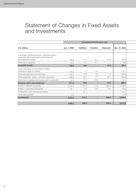# Statement of Changes in Fixed Assets and Investments

|                                                                                                        |              | <b>Acquisition/Construction cost</b> |                          |                          |               |  |  |  |
|--------------------------------------------------------------------------------------------------------|--------------|--------------------------------------|--------------------------|--------------------------|---------------|--|--|--|
| in $\epsilon$ millions                                                                                 | Jan. 1, 2004 | <b>Additions</b>                     | <b>Transfers</b>         | <b>Disposals</b>         | Dec. 31, 2004 |  |  |  |
|                                                                                                        |              |                                      |                          |                          |               |  |  |  |
| Franchises, operating licenses, industrial property<br>and similar rights and assets, and licenses for |              |                                      |                          |                          |               |  |  |  |
| such rights and assets                                                                                 | 148.8        | 11.5                                 | 31.1                     | 27.9                     | 163.5         |  |  |  |
| Advances to suppliers                                                                                  | 31.8         | 5.1                                  | $-31.1$                  |                          | 5.8           |  |  |  |
| Intangible assets                                                                                      | 180.6        | 16.6                                 | $\overline{\phantom{0}}$ | 27.9                     | 169.3         |  |  |  |
| Land, land rights, and buildings including<br>buildings on land not owned                              | 143.2        | 1.7                                  | 0.2                      |                          | 145.1         |  |  |  |
| Technical equipment and machinery                                                                      | 452.3        | 10.9                                 | 9.9                      | 7.1                      | 466.0         |  |  |  |
| Other equipment, factory, and office equipment                                                         | 262.8        | 20.1                                 | 2.1                      | 26.1                     | 258.9         |  |  |  |
| Advances to suppliers and assets under construction                                                    | 13.3         | 17.3                                 | $-12.2$                  |                          | 18.4          |  |  |  |
| Property, plant, and equipment                                                                         | 871.6        | 50.0                                 | -                        | 33.2                     | 888.4         |  |  |  |
| Shares in affiliated companies                                                                         | 3,143.9      | 451.3                                | $-5.0$                   | 881.9                    | 2,708.3       |  |  |  |
| Shares in associated companies                                                                         | 87.1         | 5.3                                  | 5.0                      | 9.0                      | 88.4          |  |  |  |
| Entitlements under reinsurance policies                                                                |              | 57.1                                 | $\overline{\phantom{m}}$ |                          | 57.1          |  |  |  |
| Other loans granted                                                                                    | 2.0          | $\qquad \qquad -$                    | $\overline{\phantom{m}}$ | $\overline{\phantom{0}}$ | 2.0           |  |  |  |
| <b>Investments</b>                                                                                     | 3.233.0      | 513.7                                |                          | 890.9                    | 2,855.8       |  |  |  |
|                                                                                                        |              |                                      |                          |                          |               |  |  |  |
|                                                                                                        | 4.285.2      | 580.3                                | -                        | 952.0                    | 3,913.5       |  |  |  |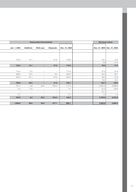| <b>Depreciation/Amortization</b> |                          |                          |                          |                          | Net book values |                             |
|----------------------------------|--------------------------|--------------------------|--------------------------|--------------------------|-----------------|-----------------------------|
| Jan. 1, 2004                     | <b>Additions</b>         | Write-ups                | <b>Disposals</b>         | Dec. 31, 2004            |                 | Dec. 31, 2004 Dec. 31, 2003 |
|                                  |                          |                          |                          |                          |                 |                             |
|                                  |                          |                          |                          |                          |                 |                             |
| 133.3                            | 14.1                     | $\qquad \qquad -$        | 27.6                     | 119.8                    | 43.7            | 15.5                        |
| $\overline{\phantom{m}}$         | $\overline{\phantom{m}}$ | $\qquad \qquad -$        | $\overline{\phantom{m}}$ | $\overline{\phantom{m}}$ | 5.8             | 31.8                        |
| 133.3                            | 14.1                     | -                        | 27.6                     | 119.8                    | 49.5            | 47.3                        |
|                                  |                          |                          |                          |                          |                 |                             |
| 115.4                            | 2.2                      | $\qquad \qquad -$        | $\overline{\phantom{m}}$ | 117.6                    | 27.5            | 27.8                        |
| 396.2                            | 16.0                     | $\overline{\phantom{0}}$ | 6.6                      | 405.6                    | 60.4            | 56.1                        |
| 225.0                            | 22.1                     | $\overline{\phantom{0}}$ | 24.6                     | 222.5                    | 36.4            | 37.8                        |
| $\overline{\phantom{m}}$         | $\overline{\phantom{m}}$ | $\qquad \qquad -$        | $\overline{\phantom{m}}$ | $\overline{\phantom{m}}$ | 18.4            | 13.3                        |
| 736.6                            | 40.3                     | -                        | 31.2                     | 745.7                    | 142.7           | 135.0                       |
| 757.1                            | 0.5                      | 22.0                     | 618.3                    | 117.3                    | 2,591.0         | 2,386.8                     |
| 2.2                              | 5.0                      | $\qquad \qquad -$        | $\overline{\phantom{m}}$ | 7.2                      | 81.2            | 84.9                        |
| $\overline{\phantom{m}}$         | $\qquad \qquad -$        | $\overline{\phantom{0}}$ | $\overline{\phantom{0}}$ | $\overline{\phantom{m}}$ | 57.1            | $\overline{\phantom{m}}$    |
| 0.7                              | $\qquad \qquad -$        | $\qquad \qquad -$        | $\overline{\phantom{0}}$ | 0.7                      | 1.3             | $1.3\,$                     |
| 760.0                            | 5.5                      | 22.0                     | 618.3                    | 125.2                    | 2,730.6         | 2,473.0                     |
|                                  |                          |                          |                          |                          |                 |                             |
| 1,629.9                          | 59.9                     | 22.0                     | 677.1                    | 990.7                    | 2,922.8         | 2,655.3                     |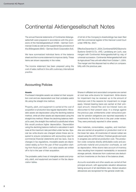# Continental Aktiengesellschaft Notes

The annual financial statements of Continental Aktiengesellschaft were prepared in accordance with the provisions of the *Handelsgesetzbuch* (HGB – German Commercial Code) as well as the supplementary provisions of the *Aktiengesetz* (AktG – German Stock Corporation Act).

We have summarized individual items of the balance sheet and the income statement to improve clarity. These items are shown separately in the notes.

The income statement has been prepared using the cost of sales method in line with customary international practice.

A full list of the Company's shareholdings has been filed with the commercial register of the Hanover Local Court under HRB No. 3527.

Effective December 31, 2004, Continental ISAD Electronic Systems GmbH & Co. oHG, Landsberg am Lech, was merged with Continental Aktiengesellschaft by way of universal succession. Continental Aktiengesellschaft sold its Agricultural Tires unit with effect from October 1, 2004. The merger and the disposal had no effect on comparability with the previous year.

# Accounting Policies

#### **Assets**

Purchased intangible assets are stated at their acquisition cost and are depreciated over their probable useful life using the straight-line method.

Property, plant, and equipment is carried at the cost of acquisition or production less regular depreciation. Moveable assets are depreciated using the declining balance method, while all other assets are depreciated using the straight-line method. Where the declining balance method is used, the straight-line method is substituted where this would produce higher depreciation. Depreciation using the declining balance method is calculated in each case at the maximum rate permitted under tax law. Special tax write-downs are charged where these are required to ensure compliance with accounting rules for commercial financial statements and tax laws. Due to changes in tax regulations, moveable assets are depreciated ratably as from the year of their acquisition starting from fiscal year 2004. Low-value assets are written off in full in the year of their acquisition.

The probable useful lives of intangible assets and property, plant, and equipment are based on the tax depreciation tables.

Shares in affiliated and associated companies are carried at cost less write-downs for impairment. Write-downs for impairment may be reversed up to the amount of historical cost if the reasons for impairment no longer apply. Interest-bearing loans are carried at their principal amount; interest-free and low-interest loans are discounted to their present value. In a change against the previous year, entitlements under reinsurance policies for pension obligations are reported separately in investments for the first time in the year under review. They were previously reported in other assets.

Raw materials, consumables, supplies, and merchandise are carried at acquisition or production cost or at the lower fair value. All inventories of natural rubber are valued using the LIFO method. Finished goods and work in progress are carried at production cost. The production costs comprise directly attributable costs and proportionate material and production overheads, as well as depreciation. Write-downs take account of inventory risks resulting from impaired marketability or excessive storage periods. Advances from customers are deducted from inventories on the face of the balance sheet.

Accounts receivable and other assets are carried at their principal amount, with appropriate valuation allowances taking account of all identifiable risks. Global valuation allowances are recognized for the general credit risk.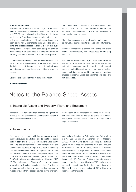#### **Equity and liabilities**

Provisions for pensions and similar obligations are measured on the basis of actuarial calculations in accordance with FAS 87, and are based on the 1998 mortality tables published by Prof. Klaus Heubeck, adjusted to comply with international principles. The other provisions have been set up for all identifiable risks, uncertain obligations, and expected losses on the basis of prudent business practice. Provisions have been set up for deferred maintenance to be performed in the first quarter of the following year in the amount of the forecast expense.

Unrealized losses arising for currency hedges from comparison with the forward rate for the same maturity at the balance sheet date are accrued. Unrealized gains are not considered, and there is no netting of gains and losses.

Liabilities are carried at their redemption amount.

**Income statement**

The cost of sales comprises all variable and fixed costs for production, the cost of purchasing merchandise, and allocations paid to affiliated companies to cover research and development expenses.

The selling expenses include all variable selling expenses as well as the fixed costs for sales-related functions.

General administrative expenses relate to the cost of the finance, administration, human resources, and holding functions.

Business transactions in foreign currency are valued at the exchange rate on the date the transaction is first entered in the accounts or, if hedged, at their hedged rates. Unrealized losses from exchange rates at the balance sheet date are covered by appropriate provisions charged to income. Unrealized exchange rate gains are not recognized.

# Notes to the Balance Sheet, Assets

# 1. Intangible Assets and Property, Plant, and Equipment

Individual asset items and their changes as against the previous year are shown in the Statement of Changes in Fixed Assets and Investments.

Depreciation and amortization contains tax depreciation in accordance with section 6b of the *Einkommensteuergesetz* (EstG – German Income Tax Act) amounting to €0.6 million.

# 2. Investments

The increase in shares in affiliated companies was primarily attributable to additions due to capital increases against cash and non-cash contributions (this mainly relates to capital increases at Formpolster GmbH and Continental Caoutchouc-Export AG, both in Hanover). The non-cash contributions to Formpolster GmbH were comprised of shares in affiliated companies (in particular ContiTech Benecke-Kaliko Verwaltungs-GmbH, Hanover; ContiTech Universe Verwaltungs-GmbH, Hanover; IMAS AE, Volos, Greece; and Phoenix AG, Hamburg); shares already held by Continental Aktiengesellschaft at the end of the previous fiscal year were reported as disposals of investments. Further disposals related to the intercompany sale of Continental Automotive Inc., Wilmington, U.S.A., and the sale of Continental Tire of Moscow Z.A.O., Russia. A write-down charged in previous fiscal years on the interest in Continental do Brasil Produtos Automotivos Ltda., Sao Paulo, Brazil was partially reversed due to the requirement to reverse write-downs under the HGB. In contrast, write-downs on investments in the year under review primarily related to the interest in SupplyOn AG, Stuttgart. Entitlements under reinsurance policies for pension obligations (€57.1 million) were reported in investments for the first time in fiscal year 2004; in the previous year, claims of €5.7 million were reported in other assets.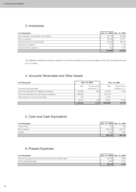# 3. Inventories

| in $\epsilon$ thousands                  | Dec. 31, 2004 | Dec. 31, 2003 |
|------------------------------------------|---------------|---------------|
| Raw materials, consumables, and supplies | 29.174        | 28,586        |
| Work in progress                         | 28.106        | 22,571        |
| Finished goods and merchandise           | 92.236        | 86.144        |
| Advances to suppliers                    | 312           | 407           |
| Advances from customers                  | $-732$        | $-1.133$      |
|                                          | 149,096       | 136,575       |

The difference between inventory valuation at current acquisition cost and according to the LIFO principle amounts to €1.8 million.

# 4. Accounts Receivable and Other Assets

| In $\epsilon$ thousands                       |           | Dec. 31, 2004                       | Dec. 31, 2003 |                                     |
|-----------------------------------------------|-----------|-------------------------------------|---------------|-------------------------------------|
| Trade accounts receivable                     | Total     | thereof with a<br>maturity of $> 1$ | Total         | thereof with a<br>maturity of $> 1$ |
| Accounts receivable from affiliated companies | 193.884   | 988                                 | 179.889       | 1.054                               |
| Accounts receivable from associated companies | 884,992   |                                     | 797.785       |                                     |
| Other assets and amounts receivable           | 194       |                                     | 3.155         |                                     |
|                                               | 53.871    | 426                                 | 45.991        | 11.665                              |
|                                               | 1,132,941 | 1,414                               | 1,026,820     | 12.719                              |

# 5. Cash and Cash Equivalents

| in $\epsilon$ thousands |         | Dec. 31, 2004 Dec. 31, 2003 |
|-------------------------|---------|-----------------------------|
| Cash in hand            | 162     | 236                         |
| Bank balances           | 623.578 | 460,377                     |
| Checks                  | 2,365   | 1.537                       |
|                         | 626,105 | 462,150                     |

# 6. Prepaid Expenses

| in € thousands                                                   |        | Dec. 31, 2004 Dec. 31, 2003 |
|------------------------------------------------------------------|--------|-----------------------------|
| Premium corresponding to the fair value of the conversion rights | 65.264 | 4.628                       |
| Other prepaid expenses                                           | 4.654  | .244                        |
|                                                                  | 69.918 | 5.872                       |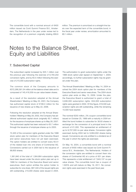The convertible bond with a nominal amount of  $€400$ million issued via Conti Gummi Finance B.V., Amsterdam, The Netherlands in the year under review led to the recognition of a premium originally totaling €69.9

million. The premium is amortized on a straight-line basis over the expected term of the convertible bond; in the fiscal year under review, amortization amounted to €6.1 million.

# Notes to the Balance Sheet, Equity and Liabilities

# 7. Subscribed Capital

The subscribed capital increased by  $E$ 25.1 million over the previous year following the exercise of 9,784,202 conversion rights, and by €0.5 million following the exercise of 210,000 subscription rights.

The common stock of the Company amounts to €372,266,391.04 million at the balance sheet date and is composed of 145,416,559 no-par value bearer shares.

As a result of the resolution adopted at the Annual Shareholders' Meeting on May 23, 2001, the Company has authorized capital stock of €166.0 million for the issuance of new shares up to May 22, 2006.

Following the resolution adopted at the Annual Shareholders' Meeting on May 29, 2002, the Company has additional authorized capital stock (originally €5.7 million) for the issuance of employee shares up to May 28, 2007. This authorized capital has been reduced to €3.7 million through the issuance of employee shares up to 2003.

72,400 of the conversion rights granted under the 1996 stock option plan for members of the Executive Board and senior executives have not yet been exercised. The option holders are entitled to convert every  $€0.51$ of the related loan into one share of Continental AG. Conversions carried out in 2004 led to the issuance of 99,600 shares.

1,381,840 of the total of 1,564,664 subscription rights have been issued under the stock option plan set up in 1999 for members of the Executive Board and senior executives. Each option entitles the option holder to subscribe for one share. 687,340 of the issued rights are still outstanding. 210,000 shares were issued in 2004.

The authorization to grant subscription rights under the 1999 stock option plan lapsed on September 1, 2004; accordingly, no further subscription rights may be granted under this plan.

The Annual Shareholders' Meeting on May 14, 2004 resolved the 2004 stock option plan for members of the Executive Board and senior executives. The 2004 stock option plan ends on May 13, 2009. Under the plan, the Executive Board is authorized to grant a total of 3,936,000 subscription rights. 634,000 subscription rights were granted in 2004. Of this figure, 618,500 subscription rights are still outstanding, while the remaining 15,500 have expired.

The nominal €250 million, 2%-coupon convertible bond issued on October 25, 1999 with a maturity in 2004 entitled the bond holders to subscribe for 38.83 shares in exchange for the conversion of a principal bond in the amount of €1,000. This represented an entitlement of up to 9,707,500 no-par value shares. Conversion rights exercised during 2004 led to 9,684,602 shares being issued. Conversions are only entitled to a dividend as of the year in which the rights are exercised.

On May 19, 2004, a convertible bond with a nominal amount of €400 million was issued via Conti Gummi Finance B.V., Amsterdam, The Netherlands. Holders of the conversion rights are entitled to convert them into shares of Continental AG at a price of €51 per share. This represents a total entitlement of 7,843,137 no-par value shares. The convertible bond has a coupon of 1.625% and will mature on May 19, 2011. No conversion rights were exercised in the past fiscal year.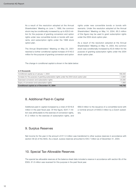As a result of the resolution adopted at the Annual Shareholders' Meeting on June 1, 1999, the common stock may be conditionally increased by up to €29.0 million for the purpose of granting conversion and option rights under new convertible bonds or bonds with warrants, and subscription rights under the 1999 stock option plan.

The Annual Shareholders' Meeting on May 23, 2001 resolved a further conditional capital increase of €140.0 million for the purpose of granting conversion and option rights under new convertible bonds or bonds with warrants. Under the resolution adopted at the Annual Shareholders' Meeting on May 14, 2004, €6.3 million of this figure may be used to grant subscription rights under the 2004 stock option plan.

As a result of the resolution adopted at the Annual Shareholders' Meeting on May 14, 2004, the common stock was conditionally increased by €3.8 million for the purpose of granting subscription rights under the 2004 stock option plan.

The change in conditional capital is shown in the table below:

### **in € thousands**

| Conditional capital as of January 1, 2004                                                 | 169.483   |
|-------------------------------------------------------------------------------------------|-----------|
| Increase for the purpose of granting subscription rights under the 2004 stock option plan | $+3.800$  |
| Exercised conversion and subscription rights                                              | $-25.585$ |
| Expiry of conversion and subscription rights                                              | $-1.993$  |
| Conditional capital as of December 31, 2004                                               | 145.705   |

# 8. Additional Paid-In Capital

Additional paid-in capital increased by a total of €318.8 million in the past fiscal year. Of this figure, €247.7 million was attributable to the exercise of conversion rights, €1.2 million to the exercise of subscription rights, and €69.9 million to the issuance of a convertible bond with a nominal amount of €400.0 million by a Dutch subsidiary.

# 9. Surplus Reserves

Net income for the year in the amount of €11.0 million was transferred to other surplus reserves in accordance with section 58 (2) of the AktG. As a result, surplus reserves amounted to €45.7 million as of December 31, 2004.

# 10. Special Tax-Allowable Reserves

The special tax-allowable reserves at the balance sheet date included a reserve in accordance with section 6b of the EStG. €1.6 million was reversed for this purpose in the past fiscal year.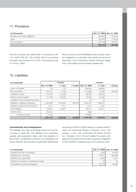# 11. Provisions

| in € thousands                   |         | Dec. 31, 2004 Dec. 31, 2003 |
|----------------------------------|---------|-----------------------------|
| Pensions and similar obligations | 279.581 | 251.918                     |
| Taxes                            | 132.767 | 173.728                     |
| Other provisions                 | 242.775 | 229.253                     |
|                                  | 655,123 | 654,899                     |

Pension provisions are determined in accordance with U.S. GAAP (FAS 87). The interest rate for accounting purposes was lowered from 5.50% in the previous year to 4.75% in 2004.

Other provisions cover identifiable risks and other uncertain obligations. In particular, they contain provisions for warranties, bonus payments, partial retirement obligations, and holiday and anniversary entitlements.

# 12. Liabilities

| in $\epsilon$ thousands                 |               | <b>Thereof</b> |           |               | <b>Thereof</b> |           |
|-----------------------------------------|---------------|----------------|-----------|---------------|----------------|-----------|
|                                         | Dec. 31, 2004 | $<$ 1 year     | > 5 years | Dec. 31, 2003 | < 1 year       | > 5 years |
| Loans, convertible                      | 125           | 125            |           | 266,846       | 266,664        |           |
| Non-convertible                         | 414,311       | 2,125          |           | 514,689       | 14,689         | 500,000   |
| Liabilities to banks                    | 117,049       | 117,049        |           | 88,536        | 68,162         |           |
| Trade accounts payable                  | 111.789       | 110.925        |           | 87,583        | 87.583         |           |
| Liabilities on bills accepted and drawn |               |                |           | 23            | 23             |           |
| Liabilities to affiliated companies     | 1,634,293     | 1,041,626      | 400,000   | 1,042,473     | 860,818        |           |
| Liabilities to associated companies     | 3.317         | 3.317          |           | 3.527         | 3.527          |           |
| Other liabilities                       | 120,831       | 120,831        |           | 183,512       | 123.512        |           |
| thereof: taxes                          | (10, 634)     |                |           | (836)         |                |           |
| for social security                     | (11, 016)     |                |           | (10,063)      |                |           |
|                                         | 2,401,715     | 1,395,998      | 400,000   | 2,187,189     | 1.424.978      | 500,000   |

### **Commitments and contingencies**

The liabilities from bills of exchange result from the discounting of trade bills. The liabilities from warranties, sureties and guarantees relate, with the exception of €0.9 million, to liabilities incurred by our subsidiaries and equity interests, and primarily to guarantee relationships

amounting to €634.8 million relating to capital market finance for Continental Rubber of America, Corp., Wilmington, U.S.A., and Continental Tire North America Inc., Charlotte, U.S.A. The joint liability for pension obligations is the result of the transfer of pension obligations to the ContiTech companies spun off in previous years.

| in $\epsilon$ thousands                        | Dec. 31, 2004 | Dec. 31, 2003 |
|------------------------------------------------|---------------|---------------|
| Liabilities from bills of exchange             | 4.209         | 28,056        |
| Liabilities from warranties                    | 755.501       | 894.898       |
| Liabilities from quarantees                    | 6.846         | 3,313         |
| Liability from shares in cooperative societies | 28            | 28            |
| Joint liability for pension obligations        | 33,712        | 35.388        |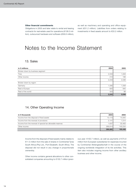#### **Other financial commitments**

Obligations in 2005 and later relate to rental and leasing contracts for real estate used for operations (€106.0 million), outsourced hardware and software (€58.8 million), as well as machinery and operating and office equipment (€31.2 million). Liabilities from orders relating to investments in fixed assets amount to €33.2 million.

# Notes to the Income Statement

# 13. Sales

| in $\epsilon$ millions          | 2004  | 2003  |
|---------------------------------|-------|-------|
| Broken down by business segment |       |       |
| Tires                           | 2,033 | 1,848 |
| Other income                    | 210   | 188   |
|                                 | 2,243 | 2,036 |
| Broken down by region           |       |       |
| Germany                         | l,095 | 1,008 |
| Rest of Europe                  | 825   | 940   |
| Rest of the world               | 323   | 88    |
|                                 | 2,243 | 2,036 |

# 14. Other Operating Income

| in $\epsilon$ thousands                                    | 2004    | 2003    |
|------------------------------------------------------------|---------|---------|
| Income from the disposal of fixed assets                   | 13.173  | 14.945  |
| Income from the reversal of provisions                     | 2.141   | 1.514   |
| Income from the reversal of special tax-allowable reserves | .637    | 33.463  |
| Other income                                               | 269.914 | 145.534 |
|                                                            | 286,865 | 195,456 |

Income from the disposal of fixed assets mainly relates to €11.5 million from the sale of shares in Continental Tyres South Africa (Pty) Ltd., Port Elizabeth, South Africa. The disposal did not result in any change in proportionate ownership.

Other income contains general allocations to other consolidated companies amounting to €130.7 million (previous year: €100.7 million), as well as payments of €75.9 million from European subsidiaries for expenses incurred by Continental Aktiengesellschaft in the course of the ongoing worldwide integration of its tire activities. This item also includes ongoing income from other ancillary business and other income.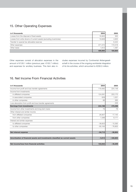# 15. Other Operating Expenses

| in $\epsilon$ thousands                                           | 2004    | 2003    |
|-------------------------------------------------------------------|---------|---------|
| Losses from the disposal of fixed assets                          | 16.902  | 300     |
| Losses from write-downs of current assets (excluding inventories) | 19.908  | 4,625   |
| Transfer to special tax-allowable reserves                        |         | 6,424   |
| Other expenses                                                    | 371.572 | 172.018 |
| Other taxes                                                       | 1.612   | 1.487   |
|                                                                   | 409.994 | 184.854 |

Other expenses consist of allocation expenses in the amount of €126.1 million (previous year: €100.7 million) and expenses for ancillary business. This item also includes expenses incurred by Continental Aktiengesellschaft in the course of the ongoing worldwide integration of its tire activities, which amounted to €206.0 million.

# 16. Net Income From Financial Activities

| in $\epsilon$ thousands                                                       | 2004      | 2003       |
|-------------------------------------------------------------------------------|-----------|------------|
| Income from profit and loss transfer agreements                               | 119,362   | 224,148    |
| Income from investments                                                       |           |            |
| in affiliated companies                                                       | 124,091   | 253,170    |
| in associated companies                                                       | 629       | 1,021      |
| in other companies                                                            | 86        | 265        |
| Loss absorption from profit and loss transfer agreements                      |           | $-206$     |
| <b>Earnings from investments</b>                                              | 244,168   | 478,398    |
| Income from other investments and long-term loans                             | 79        | 78         |
| Other interest and similar income                                             |           |            |
| from affiliated companies                                                     | 26,907    | 17,145     |
| from other companies                                                          | 7,289     | 8,171      |
| Interest and similar expenses                                                 |           |            |
| to affiliated companies                                                       | $-38,823$ | $-15,393$  |
| to other companies                                                            | $-80,164$ | $-76,805$  |
| Net interest expense                                                          | $-84,712$ | $-66,804$  |
| Amortization of financial assets and investments classified as current assets | $-5,514$  | $-446,803$ |
| Net income/loss from financial activities                                     | 153,942   | $-35,209$  |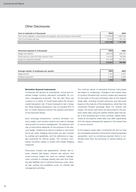# Other Disclosures

| Cost of materials in $\epsilon$ thousands                                     | 2004      | 2003      |
|-------------------------------------------------------------------------------|-----------|-----------|
| Cost of raw materials, consumables and supplies, and of purchased merchandise | 1.179.623 | 1,052,155 |
| Cost of purchased services                                                    | 78.2031   | 105.135   |
|                                                                               | 1.257.826 | 1.157.290 |

| Personnel expense in € thousands              | 2004     | 2003      |
|-----------------------------------------------|----------|-----------|
| Wages and salaries                            | 359.203  | 346.791   |
| Social security costs and other pension costs | 116.424  | 92.594    |
| thereof for retirement benefits               | (44.159) | (27, 101) |
|                                               | 475.627  | 439.385   |

| Average number of employees per quarter | 2004  | 2003  |
|-----------------------------------------|-------|-------|
| Wage earners                            | 4.221 | 4.337 |
| Salaried employees                      | 3,029 | 3.020 |
|                                         | 7,250 | 7,357 |

#### **Derivative financial instruments**

Continental AG groups its subsidiaries' actual and expected foreign currency payments worldwide, for currency management purposes. The net cash flows per currency on a rolling 12-month basis define the Group's overall transaction risk. If future transaction risk is hedged, these hedging transactions may not exceed 30% of the 12-month exposure without the express permission of the Executive Board.

Spot exchange transactions, currency forwards, currency swaps, and currency options are used to manage risks as part of currency management. The selection and use of instruments depends on the purpose of the relevant hedge. Traditional as well as modified or structured forms are used. Hedging instruments are also covered by policies and guidelines, and the adherence is regularly examined by internal audits. The currency committee convenes weekly to review and initiate hedging measures.

Particularly, forward rate agreements, interest rate futures, interest rate swaps, interest rate options, and cross-currency swaps are used for interest management, primarily to manage interest rate risks from floating-rate liabilities and to optimize financing costs. Here, as well, policies and guidelines cover our interest rate management activities.

The notional values of derivative financial instruments are based on underlyings. Changes in the market value of currency forwards and currency swaps are measured on the basis of the spot exchange rates at the balance sheet date, including forward premiums and discounts based on the maturity of the transactions, rather than the contracted forward exchange rates. For interest rate swaps, the future cash flows are discounted to the balance sheet date using the market interest rates that apply to the remaining term of the contracts. Values determined at the balance sheet date may differ significantly from the values subsequently realized on the market due to various factors.

At the balance sheet date, Continental AG did not hold any embedded derivative instruments requiring separate recognition, such as contractual payment terms in currencies other than the functional or typical trading currency.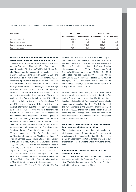The notional amounts and market values of all derivatives at the balance sheet date are as follows:

| in $\epsilon$ millions       | Dec. 31, 2004   |        | Dec. 31, 2003                  |                     |
|------------------------------|-----------------|--------|--------------------------------|---------------------|
|                              | Notional amount |        | Market value   Notional amount | <b>Market value</b> |
| Currency forwards            | 427.8           | 2.6    | 513.4                          | $-1.3$              |
| Interest rate swaps          | 32.3            | $-1.6$ | 45.6                           | $-3.8$              |
| Interest rate/currency swaps | 414.2           | 113.3  | 600.0                          | 111.5               |
| Interest rate caps           | 181.6           | 0.5    | 197.8                          | 1.6                 |

### **Notice in accordance with the Wertpapierhandelsgesetz (WpHG – German Securities Trading Act)**

In its letter dated March 22, 2004, Alliance Capital Management Corporation, New York, USA, informed us, pursuant to section 21 (1) of the WpHG, that Alliance Capital Management L.P. exceeded the threshold of 10% of Continental AG's voting stock on March 16, 2004 and that it now holds a 10.03% share in Continental AG, assignable to it pursuant to section 22 (1), sentence 1, no. 6 of the WpHG. In their letter dated May 24, 2004, Barclays Global Investors UK Holdings Limited, Barclays Bank PLC and Barclays PLC, all with their registered offices in London, UK, informed us that on May 17, 2004 each of them exceeded the threshold of 5% of voting stock, and that Barclays Global Investors UK Holdings Limited now holds a 5.46% share, Barclays Bank PLC a 5.49% share, and Barclays PLC also a 5.49% share, assignable to them pursuant to section 21 (1) and section 22 (1), sentence 1, no. 1 of the WpHG. In its letter dated August 12, 2004, AXA S.A., Paris, France, informed us that it exceeded the threshold of 10% of voting stock at a date that can no longer be determined, and that as of the reference date of May 31, 2004 it held an 11.75% share, 11.748% of this figure is assignable to it pursuant to section 22 (1), sentence 1, no. 6, and sentences 2 and 3 of the WpHG and 0.002% pursuant to section 22 (1), sentence 1, no. 1 of the WpHG. In the same letter, AXA S.A. informed us that AXA Financial, Inc., AXA Financial Services LLC, Equitable Life Assurance Society of the United States, ACMC, Inc., Equitable Holdings LLC, and ECMC LLC, all with their registered offices in New York, U.S.A., held 11.73% of voting stock as of May 31, 2004, assignable to it pursuant to section 22 (1), no. 6, sentences 2 and 3 of the WpHG. In addition, the letter informed us that Alliance Capital Management L.P. New York, U.S.A. held 11.73% of voting stock as of May 31, 2004, assignable to these companies pursuant to section 22 (1), no. 6 of the WpHG. AXA S.A.

also informed us that as of the reference date, May 31, 2004, AXA Investment Managers, Paris, France, AXA Investment Managers US Holding, and AXA Investment Managers Rose, Orinda, U.S.A. held 0.018% of voting stock pursuant to section 22 (1), no. 6, sentences 2 and 3 of the WpHG, and that as of May 31, 2004, 0.018% of voting stock was assignable to AXA Rosenberg Group LLC, Orinda, U.S.A., pursuant to section 22 (1), no. 6 of the WpHG. AXA S.A. also informed us that AXA Canada Inc, Montreal, Canada, held 0.002% of Continental AG's voting stock as of May 31, 2004.

In 2004 and up to and including March 9, 2005, the total shareholdings of the Supervisory Board and the Executive Board amounted to less than 1% of the outstanding shares. In fiscal 2004, Continental AG gave notice in accordance with section 15a of the WpHG to the effect that two members of the Executive Board purchased a total of 12,000 shares from a stock option plan and resold the shares immediately. Further, one member of the Supervisory Board purchased a total of 7,200 shares and subsequently sold them.

### **German Corporate Governance Code/Declaration in Accordance with Section 161 AktG**

The declaration required in accordance with section 161 of the *Aktiengesetz* (German Stock Corporation Act) was issued by the Executive Board and the Supervisory Board on December 17, 2004 and made available to our shareholders on our website under www.conti-online. com.

## **Remuneration of the Executive Board and the Supervisory Board**

The principles of the Executive Board compensation system are explained in the Corporate Governance declaration. The individual members of the Executive Board received the following amounts in 2004: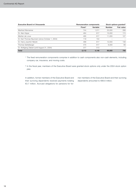| Executive Board in € thousands                  | <b>Remuneration components</b> |          |               | Stock options granted <sup>2</sup> |
|-------------------------------------------------|--------------------------------|----------|---------------|------------------------------------|
|                                                 | Fixed <sup>1</sup>             | Variable | <b>Number</b> | <b>Fair value</b>                  |
| Manfred Wennemer                                | 744                            | 1.011    | 25,000        | 289                                |
| Dr. Alan Hippe                                  | 464                            | 617      | 15,000        | 174                                |
| Martien de Louw                                 | 465                            | 617      | 11.000        | 127                                |
| Dr. Karl-Thomas Neumann (since October 1, 2004) | 119                            | 154      |               |                                    |
| Dr. Hans-Joachim Nikolin                        | 468                            | 617      | 12.000        | 139                                |
| Thomas Sattelberger                             | 475                            | 617      | 6.000         | 69                                 |
| Dr. Wolfgang Ziebart (until August 31, 2004)    | 377                            | 513      |               |                                    |
| <b>Total</b>                                    | 3,112                          | 4,146    | 69,000        | 798                                |

- <sup>1</sup> The fixed remuneration components comprise in addition to cash components also non-cash elements, including company car, insurance, and moving costs.
- <sup>2</sup> In the fiscal year, members of the Executive Board were granted stock options only under the 2004 stock option plan.

In addition, former members of the Executive Board and their surviving dependents received payments totaling €3.7 million. Accrued obligations for pensions for former members of the Executive Board and their surviving dependents amounted to €66.6 million.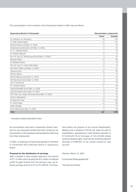The compensation of the members of the Supervisory Board in 2004 was as follows:

| Supervisory Board in € thousands                       | <b>Remuneration components</b> |          |
|--------------------------------------------------------|--------------------------------|----------|
|                                                        | Fixed <sup>1</sup>             | Variable |
| Dr. Hubertus von Grünberg                              | 19                             | 144      |
| H. Peter Hüttenmeister                                 | 14                             | 101      |
| Richard Köhler (until May 14, 2004)                    | 6                              | 40       |
| Heidemarie Aschermann (until May 14, 2004)             | 3                              | 27       |
| Dr. h.c. Manfred Bodin                                 | 7                              | 72       |
| Dr. Diethart Breipohl                                  | 8                              | 72       |
| Prof. Dr.-Ing. E.h. Breitschwerdt (until May 14, 2004) | 3                              | 27       |
| Michael Deister                                        | 12                             | 90       |
| Dr. Michael Frenzel                                    | 8                              | 72       |
| Prof. Dr.-Ing. E.h. Hans-Olaf Henkel                   | 9                              | 72       |
| Karl-Heinz Hilker (until May 14, 2004)                 | 3                              | 27       |
| Gerhard Knuth                                          | 11                             | 83       |
| Hartmut Meine                                          | 8                              | 72       |
| Werner Mierswa (until May 14, 2004)                    | 3                              | 27       |
| Dirk Nordmann (since May 14, 2004)                     | 6                              | 45       |
| Jan P. Oosterveld                                      | 8                              | 72       |
| Dr. Thorsten Reese                                     | 11                             | 83       |
| Jörg Schönfelder (since May 14, 2004)                  | 5                              | 45       |
| Jörg Schustereit (since May 14, 2004)                  | 6                              | 45       |
| Prof. Dipl.-Ing. Jürgen Stockmar (since May 14, 2004)  | 5                              | 45       |
| Fred G. Steingraber                                    | 8                              | 72       |
| Dr. Bernd W. Voss                                      | 13                             | 108      |
| Dr. Ulrich Weiss                                       | 10                             | 90       |
| Dieter Weniger                                         | 9                              | 72       |
| Erwin Wörle (since May 14, 2004)                       | 6                              | 45       |
| <b>Total</b>                                           | 201                            | 1,648    |

<sup>1</sup> Including meeting-attendance fees

No remuneration was paid to Supervisory Board members for any personally rendered services, except for the remuneration of the employee representatives stemming from their employment.

In 2004, no advances or loans were granted to members of Continental AG's Executive Board or Supervisory Board.

**Proposal for the distribution of earnings**

After a transfer to other surplus reserves in the amount of €11.0 million and including the €0.5 million of retained profits brought forward from the previous year, net retained earnings amount to €116,721,938.35. The Executive Board will propose to the Annual Shareholders' Meeting that a dividend of €0.80 per share be paid to shareholders, representing a total dividend payment of €116,333,247.20 on the basis of 145,416,559 shares carrying dividend rights, and that the remaining retained earnings of €388,691.15 be carried forward to new account.

Hanover, March 10, 2005

Continental Aktiengesellschaft

The Executive Board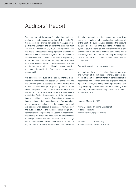# Auditors' Report

We have audited the annual financial statements, together with the bookkeeping system of Continental Aktiengesellschaft, Hanover, as well as the management report for the Company and group for the fiscal year from January 1 to December 31, 2004. The maintenance of the books and records and the preparation of the annual financial statements and management report in accordance with German commercial law are the responsibility of the Executive Board of the Company. Our responsibility is to express an opinion on the annual financial statements, together with the bookkeeping system, and the management report for the Company and group based on our audit.

We conducted our audit of the annual financial statements in accordance with section 317 of the HGB and the German generally accepted standards for the audit of financial statements promulgated by the Institut der Wirtschaftsprüfer (IDW). Those standards require that we plan and perform the audit such that misstatements materially affecting the presentation of the net assets, financial position, and results of operations in the annual financial statements in accordance with German principles of proper accounting and in the management report are detected with reasonable assurance. Knowledge of the business activities and the economic and legal environment of the Company and evaluations of possible misstatements are taken into account in the determination of audit procedures. The effectiveness of the accountingrelated internal control system and the evidence supporting the disclosures in the books and records, the annual financial statements and the management report are examined primarily on a test basis within the framework of the audit. The audit includes assessing the accounting principles used and the significant estimates made by the Executive Board, as well as evaluating the overall presentation of the annual financial statements and of the management report for the Company and group. We believe that our audit provides a reasonable basis for our opinion.

Our audit has not led to any reservations.

In our opinion, the annual financial statements give a true and fair view of the net assets, financial position, and results of operations of Continental Aktiengesellschaft in accordance with German principles of proper accounting. On the whole, the management report for the Company and group provides a suitable understanding of the Company's position and suitably presents the risks of future development.

Hanover, March 10, 2005

KPMG Deutsche Treuhand-Gesellschaft Aktiengesellschaft Wirtschaftsprüfungsgesellschaft

Zehnder Papenberg Wirtschaftsprüfer Wirtschaftsprüfer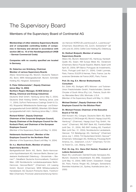# The Supervisory Board

# Members of the Supervisory Board of Continental AG

**Memberships of other statutory Supervisory Boards and of comparable controlling bodies of companies in Germany and abroad in accordance with section 285 no. 10 of the** *Handelsgesetzbuch* **(HGB – German Commercial Code):**

**Companies with no country specified are located in Germany.**

## **Dr. Hubertus von Grünberg, Chairman Member of various Supervisory Boards**

Allianz Versicherungs-AG, Munich; Deutsche Telekom AG, Bonn; MAN Aktiengesellschaft, Munich; Schindler Holding AG, Hergiswil, Switzerland

## **H. Peter Hüttenmeister\*, Deputy Chairman (since May 14, 2004) Northern Region Manager, IG BCE (Union of Mining, Chemical and Energy Industries)**

Deutsche Shell GmbH, Hamburg (since May 5, 2004); Deutsche Shell Holding GmbH, Hamburg (since June 11, 2004); DuPont Performance Coatings GmbH & Co. KG, Wuppertal; Mitteldeutsche Sanierungs- und Entsorgungsgesellschaft GmbH (MDSE), Bitterfeld; SDH Beteiligungsgesellschaft mbH, Hamburg (since May 1, 2004)

# **Richard Köhler\*, Deputy Chairman Chairman of the Corporate Employee Council, Deputy Chairman of the Employee Council for the Korbach Plant, and Chairman of the European Employee Council**

(Member of the Supervisory Board until May 14, 2004)

## **Heidemarie Aschermann\*, Member of the Employee Council for the Northeim Plant**

(Member of the Supervisory Board until May 14, 2004)

## **Dr. h.c. Manfred Bodin, Member of various Supervisory Boards**

Bankgesellschaft Berlin AG, Berlin; Berlin-Hannoversche Hypothekenbank AG, Hanover-Berlin; Bremer Landesbank Kreditanstalt Oldenburg – Girozentrale –, Bremen\*\*; DekaBank Deutsche Kommunalbank, Frankfurt/ Main; LBS Norddeutsche Landesbausparkasse Berlin-Hannover, Hanover/Berlin\*\* (Chairman); LHI Leasing GmbH, Munich (Chairman); MHB Mitteleuropäische Handelsbank AG Deutsch-Polnische Bank, Frankfurt/ Main (Chairman); Provinzial Lebensversicherung Hannover, Hanover; NORD/LB Luxembourg S.A., Luxembourg\*\* (Chairman); Skandifinanz AG, Zurich, Switzerland\*\* (all until June 30, 2004); CeWe Color Holding AG, Oldenburg

### **Dr. Diethart Breipohl, Member of various Supervisory Boards**

Allianz AG, Munich; Beiersdorf AG, Hamburg; Karstadt-Quelle AG, Essen; KM Europa Metal AG, Osnabrück (Chairman); Banco Popular Español, Madrid, Spain (until April 20, 2004); BPI Banco Portugues de Investimento, Porto, Portugal (until April 21, 2004); Crédit Lyonnais, Paris, France; EULER & Hermes, Paris, France; Les Assurances Générales de France (AGF), Paris, France

# **Prof. Dr.-Ing. E.h. Werner Breitschwerdt, Consultant**

Ed. Züblin AG, Stuttgart; MTU Motoren- und Turbinen-Union Friedrichshafen GmbH, Friedrichshafen; Daimler-Chrysler of South Africa (Pty.) Ltd., Pretoria, South Africa; Mercedes-Benz USA, Montvale, U.S.A. (Member of the Supervisory Board until May 14, 2004)

**Michael Deister\*, Deputy Chairman of the Employee Council for the Stöcken Plant**

## **Dr. Michael Frenzel, Chairman of the Executive Board of TUI AG**

AXA Konzern AG, Cologne; Deutsche Bahn AG, Berlin (Chairman); E.ON Energie AG, Munich; Hapag-Lloyd AG, Hamburg\*\* (Chairman); Hapag-Lloyd Flug GmbH, Hanover\*\* (Chairman): ING BHF Bank AG, Frankfurt/Main (until Dec. 31, 2004); ING BHF Holding AG, Frankfurt/ Main (until Dec. 31, 2004); Norddeutsche Landesbank, Hanover; TUI Beteiligungs AG, Hamburg\*\* (Chairman) (since July 1, 2004); TUI Deutschland GmbH, Hanover\*\* (Chairman); Volkswagen AG, Wolfsburg; Preussag North America, Inc., Greenwich, U.S.A.\*\* (Chairman); TUI China Travel Co., Ltd., Beijing, China\*\*

# **Prof. Dr.-Ing. E.h. Hans-Olaf Henkel, President of Leibniz-Gemeinschaft**

Bayer AG, Leverkusen; DaimlerChrysler Aerospace AG, Munich; Deutsche Industriebank AG (IKB), Düsseldorf (until May 10, 2004); SMS GmbH, Düsseldorf; Orange SA, Paris, France; Ringier AG, Zofingen, Switzerland; Brambles Industries Ltd., Sydney, Australia (since Jan. 1, 2005)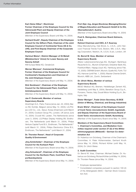**Karl-Heinz Hilker\*, Electrician Former Chairman of the Employee Council for the Vahrenwald Plant and Deputy Chairman of the Joint Employee Council**

(Member of the Supervisory Board until May 14, 2004)

**Gerhard Knuth\*, Deputy Chairman of the Employee Council for the Gifhorn Plant, Chairman of the Joint Employee Council of Continental Teves AG & Co. oHG, and First Deputy Chairman of the Corporate Employee Council**

**Hartmut Meine\*, District Manager of IG Metall (Metalworkers' Union) for Lower Saxony and Saxony-Anhalt**

KM Europa Metal AG, Osnabrück

# **Werner Mierswa\*, Commercial Employee, Former Chairman of the Employee Council for Continental's Headquarters and Chairman of the Joint Employee Council**

(Member of the Supervisory Board until May 14, 2004)

# **Dirk Nordmann\*, Chairman of the Employee Council for the Vahrenwald Plant, ContiTech Antriebssysteme GmbH**

(Member of the Supervisory Board until May 14, 2004)

### **Jan P. Oosterveld, Member of various Supervisory Boards**

AtosOrigin S.A., Paris, France (since Jan. 22, 2004); Barco NV, Kortrijk, Belgium (since May 12, 2004); LG.Philips LCD Co., Ltd., Seoul, Korea (Chairman) (until March 31, 2004); Cookson Group Plc, London, UK (since June 15, 2004); Crucell NV, Leiden, The Netherlands (since June 3, 2004); LG.Philips Display Holding BV, Eindhoven, The Netherlands (until March 31, 2004); Philips Venture Capital Fund B.V., Eindhoven, The Netherlands\*\* (until March 31, 2004); Philips Electronics China B.V., Eindhoven, The Netherlands\*\* (until March 31, 2004)

### **Dr. Thorsten Reese\*, Head of Corporate Quality & Environment**

### **Jörg Schönfelder\*, Chairman of the Employee Council for the Korbach Plant**

(Member of the Supervisory Board since May 14, 2004)

# **Jörg Schustereit\*, Chairman of the Employee Council for the Northeim Plant, ContiTech Transportbandsysteme**

(Member of the Supervisory Board since May 14, 2004)

### **Prof. Dipl.-Ing. Jürgen Stockmar, Managing Director of Magna Education and Research GmbH & Co KG, Oberwaltersdorf, Austria**

(Member of the Supervisory Board since May 14, 2004)

## **Fred G. Steingraber, Chairman Board Advisors, U.S.A.**

#### **Retired Chairman and CEO, A.T. Kearney**

Elkay Manufacturing, Oak Brook, IL, U.S.A.; John Hancock Financial Trends Fund, Boston, MA, U.S.A.; Maytag Corporation, Newton, IA, U.S.A; 3i plc, London, UK

### **Dr. Bernd W. Voss, Member of various Supervisory Boards**

Allianz Lebensversicherungs-AG, Stuttgart; Bankhaus Reuschel & Co., Munich (Chairman); Dresdner Bank AG, Frankfurt/Main; Hapag-Lloyd AG, Hamburg (since Feb. 15, 2005); OSRAM GmbH, Munich; Quelle AG, Fürth; TUI AG, Hanover (until Feb. 1, 2005); Wacker Chemie GmbH, Munich; ABB Ltd., Zurich, Switzerland

### **Dr. Ulrich Weiss, Member of various Supervisory Boards**

BEGO Medical AG, Bremen; Heidelberger Zement AG, Heidelberg (until May 6, 2004); Benetton Group S.p.A., Ponzano, Treviso, Italy; Ducati Motor Holding S.p.A., Bologna, Italy

**Dieter Weniger\*, Trade Union Secretary, IG BCE (Union of Mining, Chemical, and Energy Industries)**

**Erwin Wörle\*, Chairman of the Employee Council of Conti Temic microelectronic GmbH, Ingolstadt, and Deputy Chairman of the Supervisory Board of Conti Temic microelectronic GmbH, Nuremberg** (Member of the Supervisory Board since May 14, 2004)

# **Members of the Supervisory Board Committees 1. Chairman's Committee, and Mediation Committee required under section 27 (3) of the** *Mitbestimmungsgesetz* **(MitbestG – German Co-determination Act**

Dr. Hubertus von Grünberg, Chairman of the Chairman's Committee; H. Peter Hüttenmeister; Gerhard Knuth (since May 14, 2004); Richard Köhler (until May 14, 2004); Dr. Ulrich Weiss

### **2. Audit Committee**

Dr. Bernd W. Voss, Chairman; Michael Deister; Dr. Hubertus von Grünberg; Richard Köhler (until May 14, 2004); Dr. Thorsten Reese (since May 14, 2004)

- \* Employee representative
- \*\* Consolidated companies pursuant to section 100 (2) of the *Aktiengesetz* (AktG – German Stock Corpora tion Act)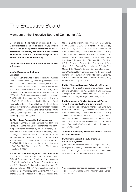# The Executive Board

# Members of the Executive Board of Continental AG

**List of the positions held by current and former Executive Board members on statutory Supervisory Boards and on comparable controlling bodies of companies in Germany and abroad in accordance with section 285 no. 10 of the** *Handelsgesetzbuch*  **(HGB – German Commercial Code)**

**Companies with no country specified are located in Germany.**

# **Manfred Wennemer, Chairman ContiTech**

Frankfurter Versicherungs-Aktiengesellschaft, Frankfurt/ Main; Benecke-Kaliko AG, Hanover\* (Chairman); Continental Teves, Inc., Wilmington, Delaware, U.S.A.\*; Continental Tire North America, Inc., Charlotte, North Carolina, U.S.A.\*; ContiTech AG, Hanover\* (Chairman); Conti-Tech AGES SpA, Santena, Italy\* (President) (until Jan. 20, 2005); ContiTech Antriebssysteme GmbH, Hanover\*; ContiTech North America, Inc., Wilmington, Delaware, U.S.A.\*; ContiTech Schlauch GmbH, Hanover\*; Conti-Tech Techno-Chemie GmbH, Karben\*; ContiTech Transportbandsysteme GmbH, Hanover\*; ContiTech Vibration Control GmbH, Hanover\*; Conti Temic microelectronic GmbH, Nuremberg\* (until Dec. 13, 2004); Phoenix AG, Hamburg\* (since Feb. 9, 2005)

#### **Dr. Alan Hippe, Finance, Controlling and Law**

Hamburg-Mannheimer Versicherungs-AG, Hamburg; Hamburg-Mannheimer Sachversicherungs-AG, Hamburg; Continental Automotive, Inc., Wilmington, Delaware, U.S.A.\*; Continental Rubber of America, Corp., Wilmington, Delaware, U.S.A.\*; Continental Teves, Inc., Wilmington, Delaware, U.S.A.\*; Continental Tire North America, Inc., Charlotte, North Carolina, U.S.A.\*; ContiTech North America, Inc., Wilmington, Delaware, U.S.A.\*; ContiTech AG, Hanover\*; Phoenix AG, Hamburg\* (since Feb. 9, 2005)

## **Martien de Louw, Passenger and Light Truck Tires**

CG Tire, Inc., Charlotte, North Carolina, U.S.A.\*; CGT Referral Resources, Inc., Charlotte, North Carolina, U.S.A.\*; Compañía Hulera Euzkadi, S.A. de C. V., México D.F., Mexico\*; Continental Automotive, Inc., Wilmington, Delaware, U.S.A.\*; Continental Automotive Licensing Corp., Charlotte, North Carolina, U.S.A.\*; Continental Llantera Potosina, S.A. de C.V., México D.F.,

Mexico\*; Continental Products Corporation, Charlotte, North Carolina, U.S.A.\*; Continental Tire de México, S.A. de C. V., México D.F., Mexico\*; Continental Tire North America, Inc., Charlotte, North Carolina, U.S.A.\*; Continental Tire Servicios, S.A. de C.V., México D.F., Mexico\*; CTNA Holding Corp., Charlotte, North Carolina, U.S.A.\*; Dynagen, Inc., Charlotte, North Carolina, U.S.A.\*; Englewood Services, Inc., Charlotte, North Carolina, U.S.A.\*; General Tire de México, S.A. de C.V., México D.F., Mexico\*; General Tire International Company, Charlotte, North Carolina, U.S.A.\*; The Continental General Tire Foundation, Charlotte, North Carolina, U.S.A.\*; Temic Automotive of North America, Inc., Auburn Hills, Michigan, U.S.A.\*

#### **Dr. Karl-Thomas Neumann, Automotive Systems**

(Member of the Executive Board since October 1, 2004) ELMOS Semiconductor AG, Dortmund; SupplyOn AG, Gerlingen-Schillerhöhe (since January 11, 2005); Continental Teves, Inc., Wilmington, Delaware, U.S.A.\*

### **Dr. Hans-Joachim Nikolin, Commericial Vehicle Tires, Corporate Quality and Environment**

TÜV Nord-Gruppe, Hamburg; Continental Sime Tyre Sdn. Bhd., Petaling Jaya, Malaysia\*; Continental Tire North America, Inc., Charlotte, North Carolina, U.S.A.\*; Continental Tyre South Africa (PTY) Limited, Port Elizabeth, South Africa\*; Drahtcord Saar GmbH & Co. KG, Merzig; KG Deutsche Gasrußwerke GmbH & Co., Dortmund; Semperit Reifen Gesellschaft m.b.H., Traiskirchen, Austria\* (Chairman)

### **Thomas Sattelberger, Human Resources, Director of Labor Relations**

# **Dr. Wolfgang Ziebart, Deputy Chairman Automotive Systems**

(Member of the Executive Board until August 31, 2004) SupplyOn AG, Gerlingen-Schillerhöhe; Continental Teves, Inc., Wilmington, Delaware, U.S.A.\*; Conti Temic microelectronic GmbH, Nuremberg\* (Chairman)

\* Consolidated companies pursuant to section 100 (2) of the *Aktiengesetz* (AktG – German Stock Corpo ration Act)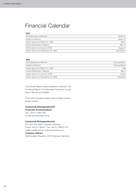# Financial Calendar

#### **2005**

| Financials press conference             | March 31   |
|-----------------------------------------|------------|
| Analyst conference                      | March 31   |
| Interim report as of March 31, 2005     | May 4      |
| Annual Shareholders' Meeting            | May 12     |
| Interim report as of June 30, 2005      | August 2   |
| Interim report as of September 30, 2005 | November 2 |

### **2006**

| Financials press conference             | February/March |
|-----------------------------------------|----------------|
| Analyst conference                      | February/March |
| Interim report as of March 31, 2006     | May            |
| Annual Shareholders' Meeting            | May 5          |
| Interim report as of June 30, 2006      | August         |
| Interim report as of September 30, 2006 | November       |

This Annual Report is also published in German. The full Annual Report of Continental Corporation is available in German and English.

If you wish to receive copies of any of these reports, please contact:

## **Continental Aktiengesellschaft Corporate Communications**

Fax: +49 511 938-1055 E-mail: prkonzern@conti.de

#### **Continental Aktiengesellschaft**

P.O. Box 169, 30001 Hanover, Germany Phone +49 511 938-01, Fax +49 511 938-81770 mailservice@conti.de, www.conti-online.com **Company address** Vahrenwalder Strasse 9, 30165 Hanover, Germany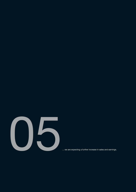